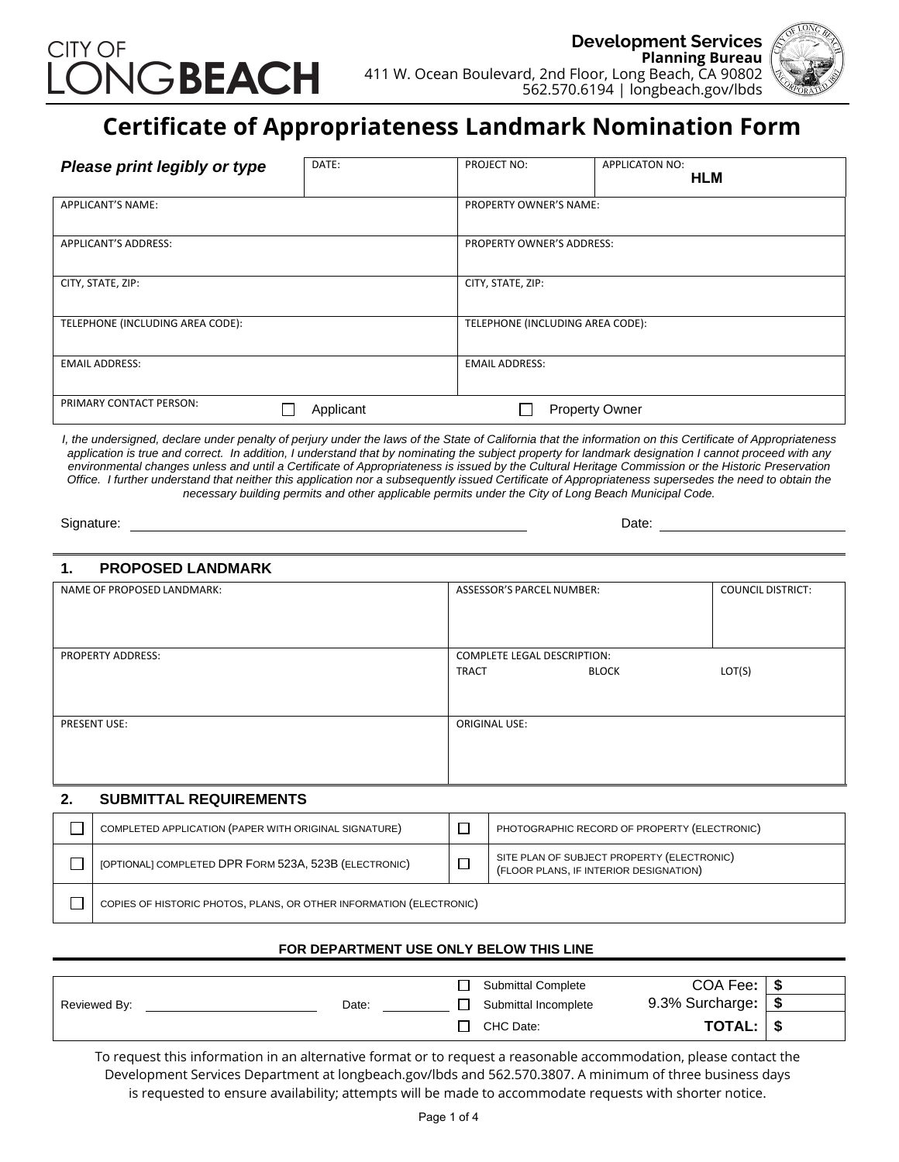



# **Certificate of Appropriateness Landmark Nomination Form**

| Please print legibly or type     | DATE:     | PROJECT NO:                      | <b>APPLICATON NO:</b><br><b>HLM</b> |
|----------------------------------|-----------|----------------------------------|-------------------------------------|
| APPLICANT'S NAME:                |           | <b>PROPERTY OWNER'S NAME:</b>    |                                     |
| APPLICANT'S ADDRESS:             |           | PROPERTY OWNER'S ADDRESS:        |                                     |
| CITY, STATE, ZIP:                |           | CITY, STATE, ZIP:                |                                     |
| TELEPHONE (INCLUDING AREA CODE): |           | TELEPHONE (INCLUDING AREA CODE): |                                     |
| <b>EMAIL ADDRESS:</b>            |           | <b>EMAIL ADDRESS:</b>            |                                     |
| PRIMARY CONTACT PERSON:          | Applicant |                                  | <b>Property Owner</b>               |

*I, the undersigned, declare under penalty of perjury under the laws of the State of California that the information on this Certificate of Appropriateness application is true and correct. In addition, I understand that by nominating the subject property for landmark designation I cannot proceed with any environmental changes unless and until a Certificate of Appropriateness is issued by the Cultural Heritage Commission or the Historic Preservation Office. I further understand that neither this application nor a subsequently issued Certificate of Appropriateness supersedes the need to obtain the necessary building permits and other applicable permits under the City of Long Beach Municipal Code.*

Signature: Date: Date: Date: Date: Date: Date: Date: Date: Date: Date: Date: Date: Date: Date: Date: Date: Date: Date: Date: Date: Date: Date: Date: Date: Date: Date: Date: Date: Date: Date: Date: Date: Date: Date: Date: D

## **1. PROPOSED LANDMARK**

| NAME OF PROPOSED LANDMARK: | ASSESSOR'S PARCEL NUMBER:                                          | <b>COUNCIL DISTRICT:</b> |
|----------------------------|--------------------------------------------------------------------|--------------------------|
| PROPERTY ADDRESS:          | <b>COMPLETE LEGAL DESCRIPTION:</b><br><b>TRACT</b><br><b>BLOCK</b> | LOT(S)                   |
| PRESENT USE:               | ORIGINAL USE:                                                      |                          |

### **2. SUBMITTAL REQUIREMENTS** □ COMPLETED APPLICATION (PAPER WITH ORIGINAL SIGNATURE) PHOTOGRAPHIC RECORD OF PROPERTY (ELECTRONIC) [OPTIONAL] COMPLETED DPR <sup>F</sup>ORM 523A, 523B (ELECTRONIC) SITE PLAN OF SUBJECT PROPERTY (ELECTRONIC)  $\Box$ (FLOOR PLANS, IF INTERIOR DESIGNATION)  $\Box$

COPIES OF HISTORIC PHOTOS, PLANS, OR OTHER INFORMATION (ELECTRONIC)

### **FOR DEPARTMENT USE ONLY BELOW THIS LINE**

|              |       | <b>Submittal Complete</b> | COA Fee:        | - S |
|--------------|-------|---------------------------|-----------------|-----|
| Reviewed By: | Date: | Submittal Incomplete      | 9.3% Surcharge: | ้ S |
|              |       | CHC Date:                 | TOTAL: I        | - 5 |

To request this information in an alternative format or to request a reasonable accommodation, please contact the Development Services Department at longbeach.gov/lbds and 562.570.3807. A minimum of three business days is requested to ensure availability; attempts will be made to accommodate requests with shorter notice.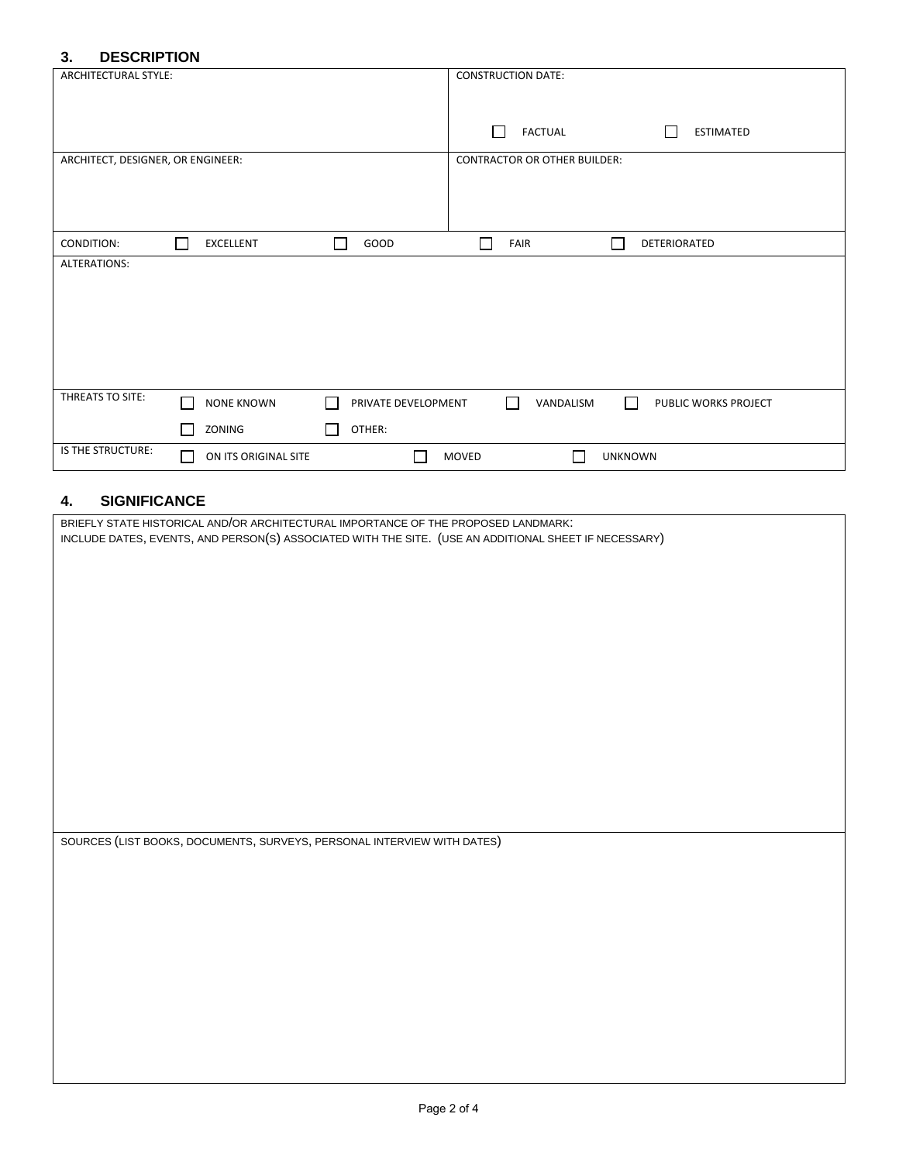## **3. DESCRIPTION**

| ARCHITECTURAL STYLE:<br><b>CONSTRUCTION DATE:</b>                                                                                           |  |
|---------------------------------------------------------------------------------------------------------------------------------------------|--|
|                                                                                                                                             |  |
|                                                                                                                                             |  |
|                                                                                                                                             |  |
| <b>FACTUAL</b><br><b>ESTIMATED</b>                                                                                                          |  |
|                                                                                                                                             |  |
| ARCHITECT, DESIGNER, OR ENGINEER:<br><b>CONTRACTOR OR OTHER BUILDER:</b>                                                                    |  |
|                                                                                                                                             |  |
|                                                                                                                                             |  |
|                                                                                                                                             |  |
|                                                                                                                                             |  |
|                                                                                                                                             |  |
| EXCELLENT<br>GOOD<br>CONDITION:<br>FAIR<br>DETERIORATED<br>$\mathbf{I}$                                                                     |  |
| <b>ALTERATIONS:</b>                                                                                                                         |  |
|                                                                                                                                             |  |
|                                                                                                                                             |  |
|                                                                                                                                             |  |
|                                                                                                                                             |  |
|                                                                                                                                             |  |
|                                                                                                                                             |  |
|                                                                                                                                             |  |
|                                                                                                                                             |  |
|                                                                                                                                             |  |
| THREATS TO SITE:<br>$\Box$<br><b>NONE KNOWN</b><br>PRIVATE DEVELOPMENT<br>VANDALISM<br>PUBLIC WORKS PROJECT<br>$\mathsf{I}$<br>$\mathbf{L}$ |  |
|                                                                                                                                             |  |
| OTHER:<br>ZONING                                                                                                                            |  |
|                                                                                                                                             |  |
| IS THE STRUCTURE:<br>MOVED<br><b>UNKNOWN</b><br>ON ITS ORIGINAL SITE                                                                        |  |

# **4. SIGNIFICANCE**

| BRIEFLY STATE HISTORICAL AND/OR ARCHITECTURAL IMPORTANCE OF THE PROPOSED LANDMARK:<br>INCLUDE DATES, EVENTS, AND PERSON(S) ASSOCIATED WITH THE SITE. (USE AN ADDITIONAL SHEET IF NECESSARY) |
|---------------------------------------------------------------------------------------------------------------------------------------------------------------------------------------------|
|                                                                                                                                                                                             |
|                                                                                                                                                                                             |
|                                                                                                                                                                                             |
|                                                                                                                                                                                             |
|                                                                                                                                                                                             |
|                                                                                                                                                                                             |
|                                                                                                                                                                                             |
|                                                                                                                                                                                             |
|                                                                                                                                                                                             |
|                                                                                                                                                                                             |
|                                                                                                                                                                                             |
| SOURCES (LIST BOOKS, DOCUMENTS, SURVEYS, PERSONAL INTERVIEW WITH DATES)                                                                                                                     |
|                                                                                                                                                                                             |
|                                                                                                                                                                                             |
|                                                                                                                                                                                             |
|                                                                                                                                                                                             |
|                                                                                                                                                                                             |
|                                                                                                                                                                                             |
|                                                                                                                                                                                             |
|                                                                                                                                                                                             |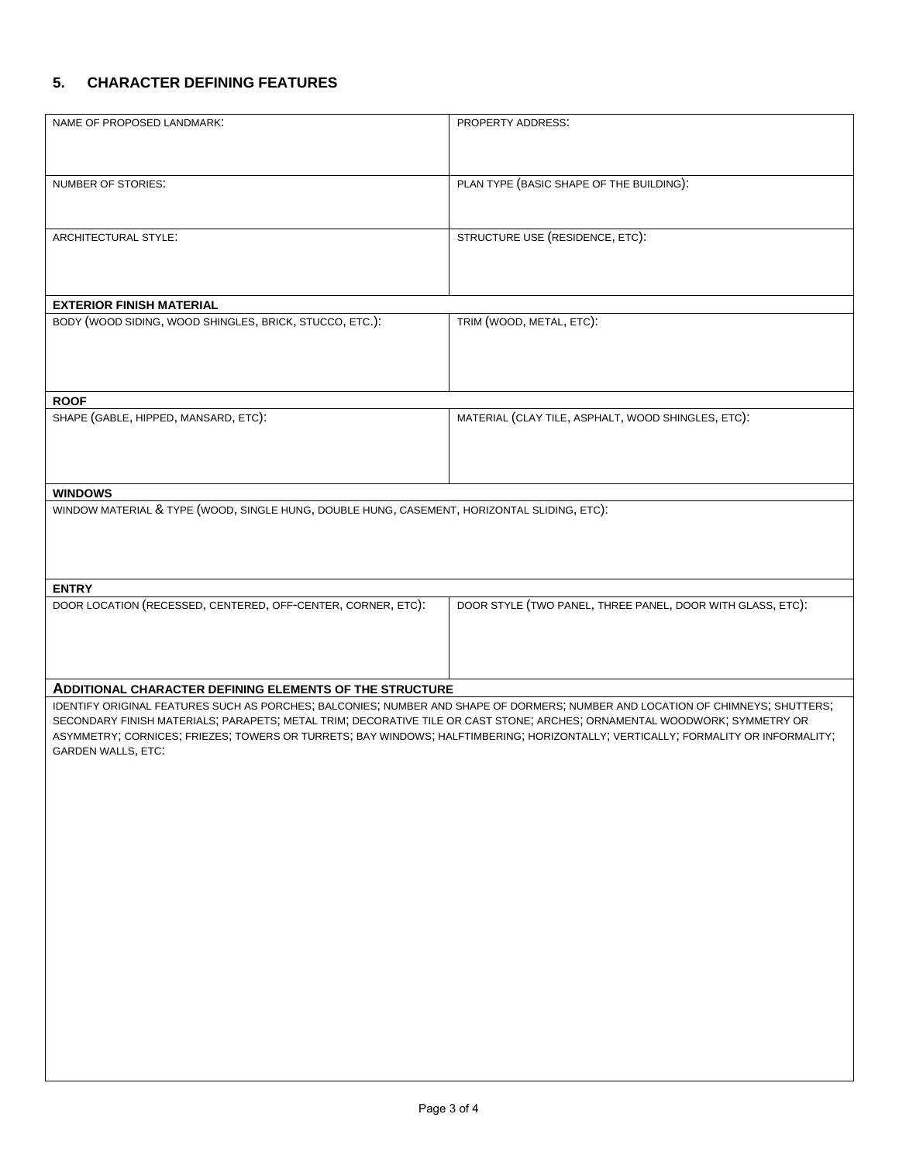# **5. CHARACTER DEFINING FEATURES**

| NAME OF PROPOSED LANDMARK:                                                                                                                                                                                                                                    | PROPERTY ADDRESS:                                          |
|---------------------------------------------------------------------------------------------------------------------------------------------------------------------------------------------------------------------------------------------------------------|------------------------------------------------------------|
|                                                                                                                                                                                                                                                               |                                                            |
|                                                                                                                                                                                                                                                               |                                                            |
|                                                                                                                                                                                                                                                               |                                                            |
| NUMBER OF STORIES:                                                                                                                                                                                                                                            | PLAN TYPE (BASIC SHAPE OF THE BUILDING):                   |
|                                                                                                                                                                                                                                                               |                                                            |
|                                                                                                                                                                                                                                                               |                                                            |
| ARCHITECTURAL STYLE:                                                                                                                                                                                                                                          | STRUCTURE USE (RESIDENCE, ETC):                            |
|                                                                                                                                                                                                                                                               |                                                            |
|                                                                                                                                                                                                                                                               |                                                            |
|                                                                                                                                                                                                                                                               |                                                            |
| <b>EXTERIOR FINISH MATERIAL</b>                                                                                                                                                                                                                               |                                                            |
| BODY (WOOD SIDING, WOOD SHINGLES, BRICK, STUCCO, ETC.):                                                                                                                                                                                                       | TRIM (WOOD, METAL, ETC):                                   |
|                                                                                                                                                                                                                                                               |                                                            |
|                                                                                                                                                                                                                                                               |                                                            |
|                                                                                                                                                                                                                                                               |                                                            |
| <b>ROOF</b>                                                                                                                                                                                                                                                   |                                                            |
| SHAPE (GABLE, HIPPED, MANSARD, ETC):                                                                                                                                                                                                                          | MATERIAL (CLAY TILE, ASPHALT, WOOD SHINGLES, ETC):         |
|                                                                                                                                                                                                                                                               |                                                            |
|                                                                                                                                                                                                                                                               |                                                            |
|                                                                                                                                                                                                                                                               |                                                            |
| <b>WINDOWS</b>                                                                                                                                                                                                                                                |                                                            |
| WINDOW MATERIAL & TYPE (WOOD, SINGLE HUNG, DOUBLE HUNG, CASEMENT, HORIZONTAL SLIDING, ETC):                                                                                                                                                                   |                                                            |
|                                                                                                                                                                                                                                                               |                                                            |
|                                                                                                                                                                                                                                                               |                                                            |
|                                                                                                                                                                                                                                                               |                                                            |
|                                                                                                                                                                                                                                                               |                                                            |
| <b>ENTRY</b>                                                                                                                                                                                                                                                  |                                                            |
| DOOR LOCATION (RECESSED, CENTERED, OFF-CENTER, CORNER, ETC):                                                                                                                                                                                                  | DOOR STYLE (TWO PANEL, THREE PANEL, DOOR WITH GLASS, ETC): |
|                                                                                                                                                                                                                                                               |                                                            |
|                                                                                                                                                                                                                                                               |                                                            |
|                                                                                                                                                                                                                                                               |                                                            |
|                                                                                                                                                                                                                                                               |                                                            |
| <b>ADDITIONAL CHARACTER DEFINING ELEMENTS OF THE STRUCTURE</b>                                                                                                                                                                                                |                                                            |
| IDENTIFY ORIGINAL FEATURES SUCH AS PORCHES; BALCONIES; NUMBER AND SHAPE OF DORMERS; NUMBER AND LOCATION OF CHIMNEYS; SHUTTERS;                                                                                                                                |                                                            |
| SECONDARY FINISH MATERIALS; PARAPETS; METAL TRIM; DECORATIVE TILE OR CAST STONE; ARCHES; ORNAMENTAL WOODWORK; SYMMETRY OR<br>ASYMMETRY; CORNICES; FRIEZES; TOWERS OR TURRETS; BAY WINDOWS; HALFTIMBERING; HORIZONTALLY; VERTICALLY; FORMALITY OR INFORMALITY; |                                                            |
| <b>GARDEN WALLS, ETC:</b>                                                                                                                                                                                                                                     |                                                            |
|                                                                                                                                                                                                                                                               |                                                            |
|                                                                                                                                                                                                                                                               |                                                            |
|                                                                                                                                                                                                                                                               |                                                            |
|                                                                                                                                                                                                                                                               |                                                            |
|                                                                                                                                                                                                                                                               |                                                            |
|                                                                                                                                                                                                                                                               |                                                            |
|                                                                                                                                                                                                                                                               |                                                            |
|                                                                                                                                                                                                                                                               |                                                            |
|                                                                                                                                                                                                                                                               |                                                            |
|                                                                                                                                                                                                                                                               |                                                            |
|                                                                                                                                                                                                                                                               |                                                            |
|                                                                                                                                                                                                                                                               |                                                            |
|                                                                                                                                                                                                                                                               |                                                            |
|                                                                                                                                                                                                                                                               |                                                            |
|                                                                                                                                                                                                                                                               |                                                            |
|                                                                                                                                                                                                                                                               |                                                            |
|                                                                                                                                                                                                                                                               |                                                            |
|                                                                                                                                                                                                                                                               |                                                            |
|                                                                                                                                                                                                                                                               |                                                            |